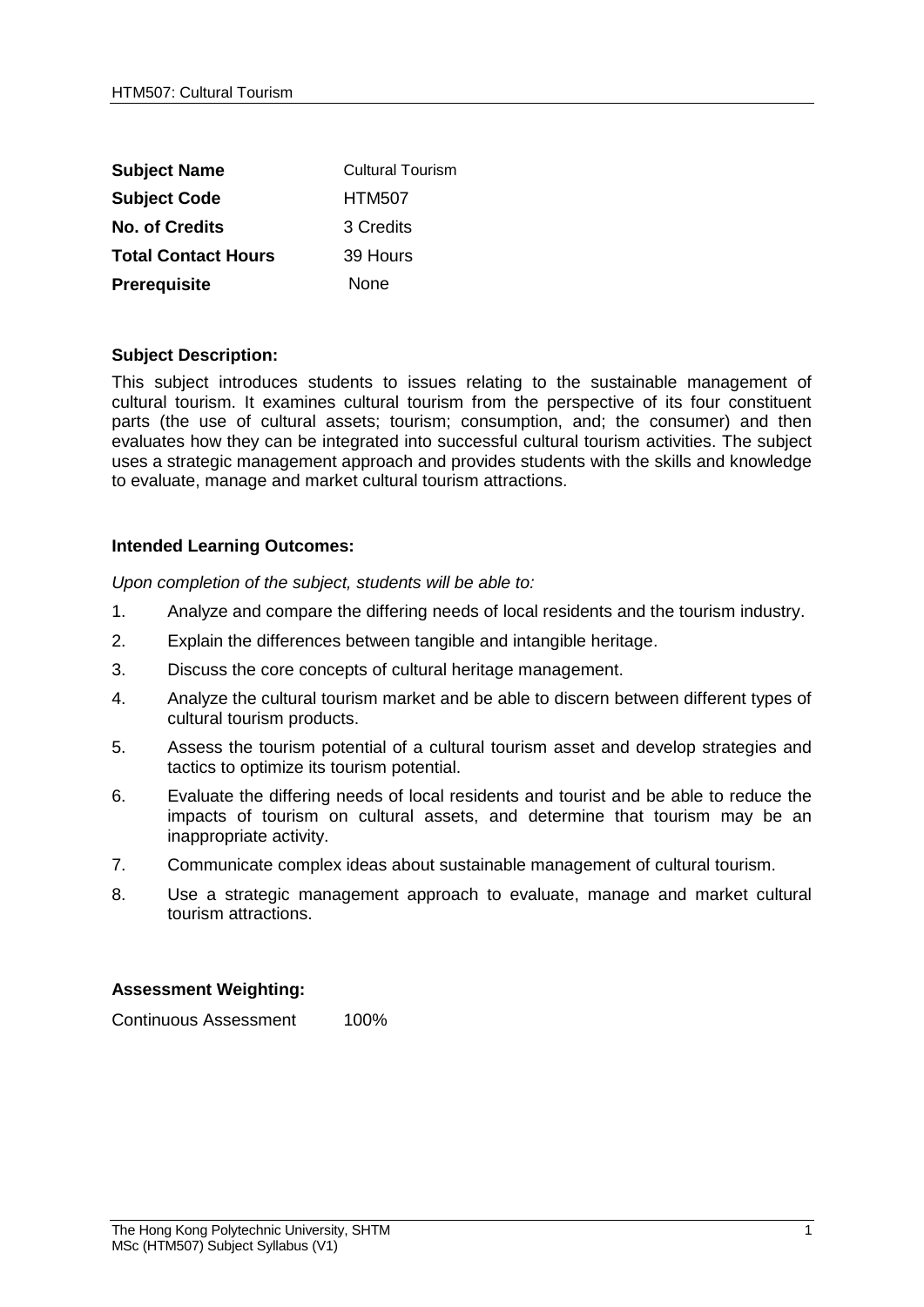| <b>Subject Name</b>        | <b>Cultural Tourism</b> |
|----------------------------|-------------------------|
| <b>Subject Code</b>        | <b>HTM507</b>           |
| <b>No. of Credits</b>      | 3 Credits               |
| <b>Total Contact Hours</b> | 39 Hours                |
| Prerequisite               | None                    |

## **Subject Description:**

This subject introduces students to issues relating to the sustainable management of cultural tourism. It examines cultural tourism from the perspective of its four constituent parts (the use of cultural assets; tourism; consumption, and; the consumer) and then evaluates how they can be integrated into successful cultural tourism activities. The subject uses a strategic management approach and provides students with the skills and knowledge to evaluate, manage and market cultural tourism attractions.

## **Intended Learning Outcomes:**

*Upon completion of the subject, students will be able to:*

- 1. Analyze and compare the differing needs of local residents and the tourism industry.
- 2. Explain the differences between tangible and intangible heritage.
- 3. Discuss the core concepts of cultural heritage management.
- 4. Analyze the cultural tourism market and be able to discern between different types of cultural tourism products.
- 5. Assess the tourism potential of a cultural tourism asset and develop strategies and tactics to optimize its tourism potential.
- 6. Evaluate the differing needs of local residents and tourist and be able to reduce the impacts of tourism on cultural assets, and determine that tourism may be an inappropriate activity.
- 7. Communicate complex ideas about sustainable management of cultural tourism.
- 8. Use a strategic management approach to evaluate, manage and market cultural tourism attractions.

## **Assessment Weighting:**

Continuous Assessment 100%